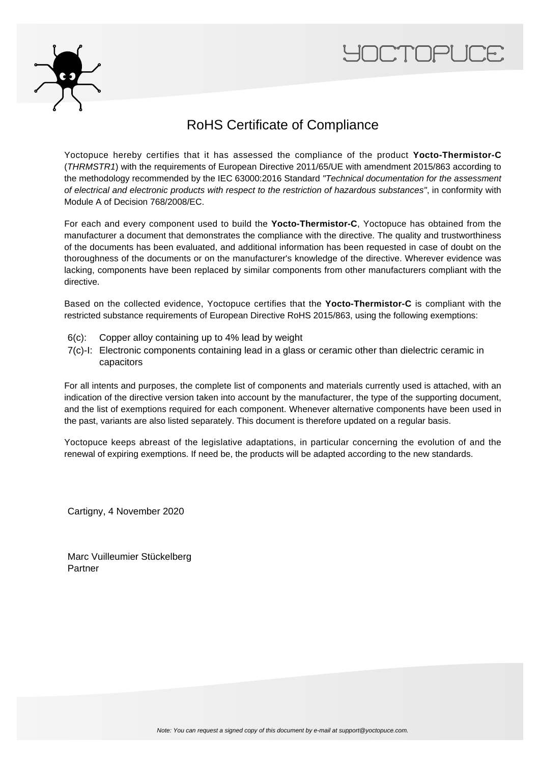



## RoHS Certificate of Compliance

Yoctopuce hereby certifies that it has assessed the compliance of the product **Yocto-Thermistor-C** (THRMSTR1) with the requirements of European Directive 2011/65/UE with amendment 2015/863 according to the methodology recommended by the IEC 63000:2016 Standard "Technical documentation for the assessment of electrical and electronic products with respect to the restriction of hazardous substances", in conformity with Module A of Decision 768/2008/EC.

For each and every component used to build the **Yocto-Thermistor-C**, Yoctopuce has obtained from the manufacturer a document that demonstrates the compliance with the directive. The quality and trustworthiness of the documents has been evaluated, and additional information has been requested in case of doubt on the thoroughness of the documents or on the manufacturer's knowledge of the directive. Wherever evidence was lacking, components have been replaced by similar components from other manufacturers compliant with the directive.

Based on the collected evidence, Yoctopuce certifies that the **Yocto-Thermistor-C** is compliant with the restricted substance requirements of European Directive RoHS 2015/863, using the following exemptions:

- 6(c): Copper alloy containing up to 4% lead by weight
- 7(c)-I: Electronic components containing lead in a glass or ceramic other than dielectric ceramic in capacitors

For all intents and purposes, the complete list of components and materials currently used is attached, with an indication of the directive version taken into account by the manufacturer, the type of the supporting document, and the list of exemptions required for each component. Whenever alternative components have been used in the past, variants are also listed separately. This document is therefore updated on a regular basis.

Yoctopuce keeps abreast of the legislative adaptations, in particular concerning the evolution of and the renewal of expiring exemptions. If need be, the products will be adapted according to the new standards.

Cartigny, 4 November 2020

Marc Vuilleumier Stückelberg Partner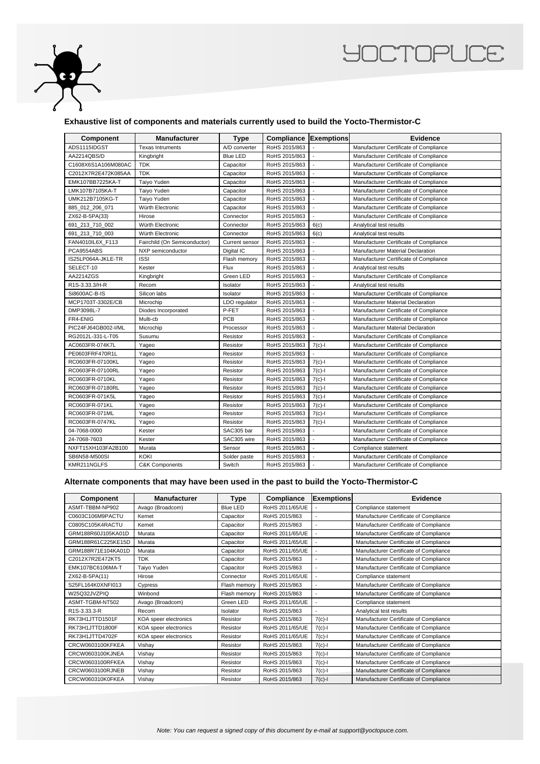

## **YOCTOPUCE**

## **Exhaustive list of components and materials currently used to build the Yocto-Thermistor-C**

| Component           | <b>Manufacturer</b>          | <b>Type</b>           | <b>Compliance Exemptions</b> |                          | Evidence                               |
|---------------------|------------------------------|-----------------------|------------------------------|--------------------------|----------------------------------------|
| ADS1115IDGST        | <b>Texas Intruments</b>      | A/D converter         | RoHS 2015/863                |                          | Manufacturer Certificate of Compliance |
| AA2214QBS/D         | Kingbright                   | <b>Blue LED</b>       | RoHS 2015/863                | $\sim$                   | Manufacturer Certificate of Compliance |
| C1608X6S1A106M080AC | <b>TDK</b>                   | Capacitor             | RoHS 2015/863                | ÷                        | Manufacturer Certificate of Compliance |
| C2012X7R2E472K085AA | <b>TDK</b>                   | Capacitor             | RoHS 2015/863                |                          | Manufacturer Certificate of Compliance |
| EMK107BB7225KA-T    | Taiyo Yuden                  | Capacitor             | RoHS 2015/863                |                          | Manufacturer Certificate of Compliance |
| LMK107B7105KA-T     | Taiyo Yuden                  | Capacitor             | RoHS 2015/863                |                          | Manufacturer Certificate of Compliance |
| UMK212B7105KG-T     | Taiyo Yuden                  | Capacitor             | RoHS 2015/863                | $\sim$                   | Manufacturer Certificate of Compliance |
| 885 012 206 071     | Würth Electronic             | Capacitor             | RoHS 2015/863                | $\sim$                   | Manufacturer Certificate of Compliance |
| ZX62-B-5PA(33)      | Hirose                       | Connector             | RoHS 2015/863                |                          | Manufacturer Certificate of Compliance |
| 691 213 710 002     | Würth Electronic             | Connector             | RoHS 2015/863                | 6(c)                     | Analytical test results                |
| 691_213_710_003     | Würth Electronic             | Connector             | RoHS 2015/863                | 6(c)                     | Analytical test results                |
| FAN4010IL6X_F113    | Fairchild (On Semiconductor) | <b>Current sensor</b> | RoHS 2015/863                | $\blacksquare$           | Manufacturer Certificate of Compliance |
| PCA9554ABS          | NXP semiconductor            | Digital IC            | RoHS 2015/863                | $\overline{\phantom{a}}$ | Manufacturer Material Declaration      |
| IS25LP064A-JKLE-TR  | <b>ISSI</b>                  | Flash memory          | RoHS 2015/863                |                          | Manufacturer Certificate of Compliance |
| SELECT-10           | Kester                       | Flux                  | RoHS 2015/863                |                          | Analytical test results                |
| AA2214ZGS           | Kingbright                   | Green LED             | RoHS 2015/863                | $\overline{a}$           | Manufacturer Certificate of Compliance |
| R1S-3.33.3/H-R      | Recom                        | Isolator              | RoHS 2015/863                | $\overline{a}$           | Analytical test results                |
| Si8600AC-B-IS       | Silicon labs                 | Isolator              | RoHS 2015/863                | $\sim$                   | Manufacturer Certificate of Compliance |
| MCP1703T-3302E/CB   | Microchip                    | LDO regulator         | RoHS 2015/863                | ÷,                       | Manufacturer Material Declaration      |
| DMP3098L-7          | Diodes Incorporated          | P-FET                 | RoHS 2015/863                | $\overline{\phantom{a}}$ | Manufacturer Certificate of Compliance |
| FR4-ENIG            | Multi-cb                     | <b>PCB</b>            | RoHS 2015/863                | $\overline{\phantom{a}}$ | Manufacturer Certificate of Compliance |
| PIC24FJ64GB002-I/ML | Microchip                    | Processor             | RoHS 2015/863                | $\sim$                   | Manufacturer Material Declaration      |
| RG2012L-331-L-T05   | Susumu                       | Resistor              | RoHS 2015/863                | $\overline{\phantom{a}}$ | Manufacturer Certificate of Compliance |
| AC0603FR-074K7L     | Yaqeo                        | Resistor              | RoHS 2015/863                | $7(c)-1$                 | Manufacturer Certificate of Compliance |
| PE0603FRF470R1L     | Yageo                        | Resistor              | RoHS 2015/863                |                          | Manufacturer Certificate of Compliance |
| RC0603FR-07100KL    | Yageo                        | Resistor              | RoHS 2015/863                | $7(c)-1$                 | Manufacturer Certificate of Compliance |
| RC0603FR-07100RL    | Yageo                        | Resistor              | RoHS 2015/863                | $7(c)-1$                 | Manufacturer Certificate of Compliance |
| RC0603FR-0710KL     | Yageo                        | Resistor              | RoHS 2015/863                | $7(c)-1$                 | Manufacturer Certificate of Compliance |
| RC0603FR-07180RL    | Yageo                        | Resistor              | RoHS 2015/863                | $7(c)-1$                 | Manufacturer Certificate of Compliance |
| RC0603FR-071K5L     | Yageo                        | Resistor              | RoHS 2015/863                | $7(c)-1$                 | Manufacturer Certificate of Compliance |
| RC0603FR-071KL      | Yageo                        | Resistor              | RoHS 2015/863                | $7(c)-1$                 | Manufacturer Certificate of Compliance |
| RC0603FR-071ML      | Yageo                        | Resistor              | RoHS 2015/863                | $7(c)-1$                 | Manufacturer Certificate of Compliance |
| RC0603FR-0747KL     | Yageo                        | Resistor              | RoHS 2015/863                | $7(c)-1$                 | Manufacturer Certificate of Compliance |
| 04-7068-0000        | Kester                       | SAC305 bar            | RoHS 2015/863                |                          | Manufacturer Certificate of Compliance |
| 24-7068-7603        | Kester                       | SAC305 wire           | RoHS 2015/863                |                          | Manufacturer Certificate of Compliance |
| NXFT15XH103FA2B100  | Murata                       | Sensor                | RoHS 2015/863                | $\overline{a}$           | Compliance statement                   |
| SB6N58-M500SI       | KOKI                         | Solder paste          | RoHS 2015/863                | $\sim$                   | Manufacturer Certificate of Compliance |
| KMR211NGLFS         | <b>C&amp;K Components</b>    | Switch                | RoHS 2015/863                | $\sim$                   | Manufacturer Certificate of Compliance |

## **Alternate components that may have been used in the past to build the Yocto-Thermistor-C**

| Component          | <b>Manufacturer</b>   | <b>Type</b>     | Compliance      | <b>Exemptions</b> | <b>Evidence</b>                        |
|--------------------|-----------------------|-----------------|-----------------|-------------------|----------------------------------------|
| ASMT-TBBM-NP902    | Avago (Broadcom)      | <b>Blue LED</b> | RoHS 2011/65/UE |                   | Compliance statement                   |
| C0603C106M9PACTU   | Kemet                 | Capacitor       | RoHS 2015/863   |                   | Manufacturer Certificate of Compliance |
| C0805C105K4RACTU   | Kemet                 | Capacitor       | RoHS 2015/863   |                   | Manufacturer Certificate of Compliance |
| GRM188R60J105KA01D | Murata                | Capacitor       | RoHS 2011/65/UE |                   | Manufacturer Certificate of Compliance |
| GRM188R61C225KE15D | Murata                | Capacitor       | RoHS 2011/65/UE |                   | Manufacturer Certificate of Compliance |
| GRM188R71E104KA01D | Murata                | Capacitor       | RoHS 2011/65/UE |                   | Manufacturer Certificate of Compliance |
| C2012X7R2E472KT5   | <b>TDK</b>            | Capacitor       | RoHS 2015/863   |                   | Manufacturer Certificate of Compliance |
| EMK107BC6106MA-T   | Taiyo Yuden           | Capacitor       | RoHS 2015/863   |                   | Manufacturer Certificate of Compliance |
| ZX62-B-5PA(11)     | Hirose                | Connector       | RoHS 2011/65/UE |                   | Compliance statement                   |
| S25FL164K0XNFI013  | Cypress               | Flash memory    | RoHS 2015/863   |                   | Manufacturer Certificate of Compliance |
| W25Q32JVZPIQ       | Winbond               | Flash memory    | RoHS 2015/863   |                   | Manufacturer Certificate of Compliance |
| ASMT-TGBM-NT502    | Avago (Broadcom)      | Green LED       | RoHS 2011/65/UE |                   | Compliance statement                   |
| R1S-3.33.3-R       | Recom                 | Isolator        | RoHS 2015/863   |                   | Analytical test results                |
| RK73H1JTTD1501F    | KOA speer electronics | Resistor        | RoHS 2015/863   | $7(c)$ -l         | Manufacturer Certificate of Compliance |
| RK73H1JTTD1800F    | KOA speer electronics | Resistor        | RoHS 2011/65/UE | $7(c)-1$          | Manufacturer Certificate of Compliance |
| RK73H1JTTD4702F    | KOA speer electronics | Resistor        | RoHS 2011/65/UE | $7(c)$ -l         | Manufacturer Certificate of Compliance |
| CRCW0603100KFKEA   | Vishay                | Resistor        | RoHS 2015/863   | $7(c)-1$          | Manufacturer Certificate of Compliance |
| CRCW0603100KJNEA   | Vishay                | Resistor        | RoHS 2015/863   | $7(c)-1$          | Manufacturer Certificate of Compliance |
| CRCW0603100RFKEA   | Vishay                | Resistor        | RoHS 2015/863   | $7(c)$ -l         | Manufacturer Certificate of Compliance |
| CRCW0603100RJNEB   | Vishay                | Resistor        | RoHS 2015/863   | $7(c)-1$          | Manufacturer Certificate of Compliance |
| CRCW060310K0FKEA   | Vishay                | Resistor        | RoHS 2015/863   | $7(c)-1$          | Manufacturer Certificate of Compliance |